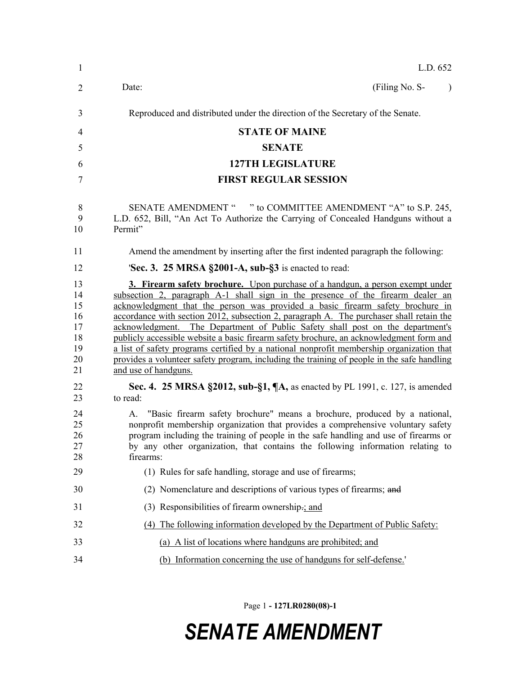| 1                                                  | L.D. 652                                                                                                                                                                                                                                                                                                                                                                                                                                                                                                                                                                                                                                                                                                                                     |
|----------------------------------------------------|----------------------------------------------------------------------------------------------------------------------------------------------------------------------------------------------------------------------------------------------------------------------------------------------------------------------------------------------------------------------------------------------------------------------------------------------------------------------------------------------------------------------------------------------------------------------------------------------------------------------------------------------------------------------------------------------------------------------------------------------|
| $\overline{2}$                                     | (Filing No. S-<br>Date:                                                                                                                                                                                                                                                                                                                                                                                                                                                                                                                                                                                                                                                                                                                      |
| 3                                                  | Reproduced and distributed under the direction of the Secretary of the Senate.                                                                                                                                                                                                                                                                                                                                                                                                                                                                                                                                                                                                                                                               |
| 4                                                  | <b>STATE OF MAINE</b>                                                                                                                                                                                                                                                                                                                                                                                                                                                                                                                                                                                                                                                                                                                        |
| 5                                                  | <b>SENATE</b>                                                                                                                                                                                                                                                                                                                                                                                                                                                                                                                                                                                                                                                                                                                                |
| 6                                                  | <b>127TH LEGISLATURE</b>                                                                                                                                                                                                                                                                                                                                                                                                                                                                                                                                                                                                                                                                                                                     |
| 7                                                  | <b>FIRST REGULAR SESSION</b>                                                                                                                                                                                                                                                                                                                                                                                                                                                                                                                                                                                                                                                                                                                 |
| 8<br>9<br>10                                       | SENATE AMENDMENT " " to COMMITTEE AMENDMENT "A" to S.P. 245,<br>L.D. 652, Bill, "An Act To Authorize the Carrying of Concealed Handguns without a<br>Permit"                                                                                                                                                                                                                                                                                                                                                                                                                                                                                                                                                                                 |
| 11                                                 | Amend the amendment by inserting after the first indented paragraph the following:                                                                                                                                                                                                                                                                                                                                                                                                                                                                                                                                                                                                                                                           |
| 12                                                 | 'Sec. 3. 25 MRSA §2001-A, sub-§3 is enacted to read:                                                                                                                                                                                                                                                                                                                                                                                                                                                                                                                                                                                                                                                                                         |
| 13<br>14<br>15<br>16<br>17<br>18<br>19<br>20<br>21 | 3. Firearm safety brochure. Upon purchase of a handgun, a person exempt under<br>subsection 2, paragraph A-1 shall sign in the presence of the firearm dealer an<br>acknowledgment that the person was provided a basic firearm safety brochure in<br>accordance with section 2012, subsection 2, paragraph A. The purchaser shall retain the<br>acknowledgment. The Department of Public Safety shall post on the department's<br>publicly accessible website a basic firearm safety brochure, an acknowledgment form and<br>a list of safety programs certified by a national nonprofit membership organization that<br>provides a volunteer safety program, including the training of people in the safe handling<br>and use of handguns. |
| 22<br>23                                           | Sec. 4. 25 MRSA §2012, sub-§1, ¶A, as enacted by PL 1991, c. 127, is amended<br>to read:                                                                                                                                                                                                                                                                                                                                                                                                                                                                                                                                                                                                                                                     |
| 24<br>25<br>26<br>27<br>28                         | A. "Basic firearm safety brochure" means a brochure, produced by a national,<br>nonprofit membership organization that provides a comprehensive voluntary safety<br>program including the training of people in the safe handling and use of firearms or<br>by any other organization, that contains the following information relating to<br>firearms:                                                                                                                                                                                                                                                                                                                                                                                      |
| 29                                                 | (1) Rules for safe handling, storage and use of firearms;                                                                                                                                                                                                                                                                                                                                                                                                                                                                                                                                                                                                                                                                                    |
| 30                                                 | (2) Nomenclature and descriptions of various types of firearms; and                                                                                                                                                                                                                                                                                                                                                                                                                                                                                                                                                                                                                                                                          |
| 31                                                 | (3) Responsibilities of firearm ownership- $\frac{1}{2}$ and                                                                                                                                                                                                                                                                                                                                                                                                                                                                                                                                                                                                                                                                                 |
| 32                                                 | (4) The following information developed by the Department of Public Safety:                                                                                                                                                                                                                                                                                                                                                                                                                                                                                                                                                                                                                                                                  |
| 33                                                 | (a) A list of locations where handguns are prohibited; and                                                                                                                                                                                                                                                                                                                                                                                                                                                                                                                                                                                                                                                                                   |
| 34                                                 | (b) Information concerning the use of handguns for self-defense.                                                                                                                                                                                                                                                                                                                                                                                                                                                                                                                                                                                                                                                                             |

Page 1 **- 127LR0280(08)-1**

## *SENATE AMENDMENT*